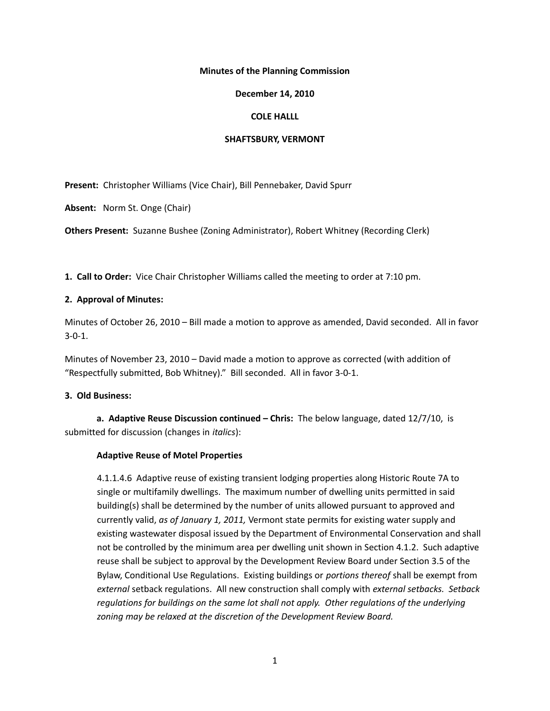### **Minutes of the Planning Commission**

### **December 14, 2010**

## **COLE HALLL**

### **SHAFTSBURY, VERMONT**

**Present:** Christopher Williams (Vice Chair), Bill Pennebaker, David Spurr

**Absent:** Norm St. Onge (Chair)

**Others Present:** Suzanne Bushee (Zoning Administrator), Robert Whitney (Recording Clerk)

**1. Call to Order:** Vice Chair Christopher Williams called the meeting to order at 7:10 pm.

## **2. Approval of Minutes:**

Minutes of October 26, 2010 – Bill made a motion to approve as amended, David seconded. All in favor 3-0-1.

Minutes of November 23, 2010 – David made a motion to approve as corrected (with addition of "Respectfully submitted, Bob Whitney)." Bill seconded. All in favor 3-0-1.

# **3. Old Business:**

**a. Adaptive Reuse Discussion continued – Chris:** The below language, dated 12/7/10, is submitted for discussion (changes in *italics*):

# **Adaptive Reuse of Motel Properties**

4.1.1.4.6 Adaptive reuse of existing transient lodging properties along Historic Route 7A to single or multifamily dwellings. The maximum number of dwelling units permitted in said building(s) shall be determined by the number of units allowed pursuant to approved and currently valid, *as of January 1, 2011,* Vermont state permits for existing water supply and existing wastewater disposal issued by the Department of Environmental Conservation and shall not be controlled by the minimum area per dwelling unit shown in Section 4.1.2. Such adaptive reuse shall be subject to approval by the Development Review Board under Section 3.5 of the Bylaw, Conditional Use Regulations. Existing buildings or *portions thereof* shall be exempt from *external* setback regulations. All new construction shall comply with *external setbacks. Setback regulations for buildings on the same lot shall not apply. Other regulations of the underlying zoning may be relaxed at the discretion of the Development Review Board.*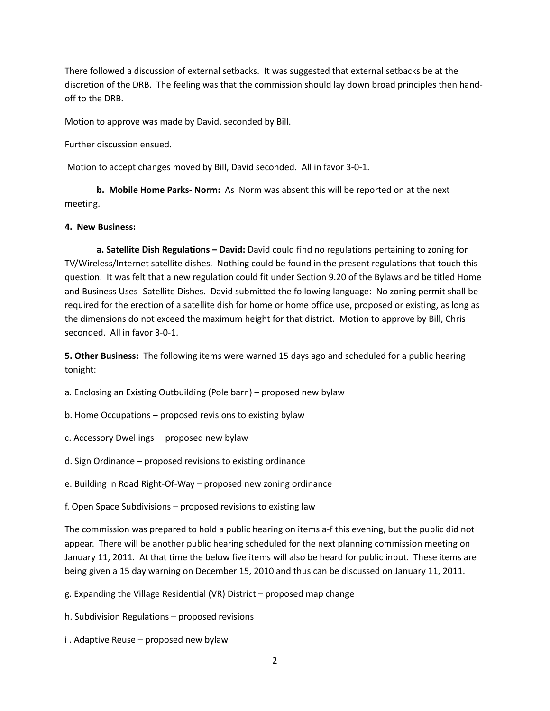There followed a discussion of external setbacks. It was suggested that external setbacks be at the discretion of the DRB. The feeling was that the commission should lay down broad principles then handoff to the DRB.

Motion to approve was made by David, seconded by Bill.

Further discussion ensued.

Motion to accept changes moved by Bill, David seconded. All in favor 3-0-1.

**b. Mobile Home Parks- Norm:** As Norm was absent this will be reported on at the next meeting.

#### **4. New Business:**

**a. Satellite Dish Regulations – David:** David could find no regulations pertaining to zoning for TV/Wireless/Internet satellite dishes. Nothing could be found in the present regulations that touch this question. It was felt that a new regulation could fit under Section 9.20 of the Bylaws and be titled Home and Business Uses- Satellite Dishes. David submitted the following language: No zoning permit shall be required for the erection of a satellite dish for home or home office use, proposed or existing, as long as the dimensions do not exceed the maximum height for that district. Motion to approve by Bill, Chris seconded. All in favor 3-0-1.

**5. Other Business:** The following items were warned 15 days ago and scheduled for a public hearing tonight:

a. Enclosing an Existing Outbuilding (Pole barn) – proposed new bylaw

b. Home Occupations – proposed revisions to existing bylaw

c. Accessory Dwellings —proposed new bylaw

d. Sign Ordinance – proposed revisions to existing ordinance

e. Building in Road Right-Of-Way – proposed new zoning ordinance

f. Open Space Subdivisions – proposed revisions to existing law

The commission was prepared to hold a public hearing on items a-f this evening, but the public did not appear. There will be another public hearing scheduled for the next planning commission meeting on January 11, 2011. At that time the below five items will also be heard for public input. These items are being given a 15 day warning on December 15, 2010 and thus can be discussed on January 11, 2011.

g. Expanding the Village Residential (VR) District – proposed map change

h. Subdivision Regulations – proposed revisions

i . Adaptive Reuse – proposed new bylaw